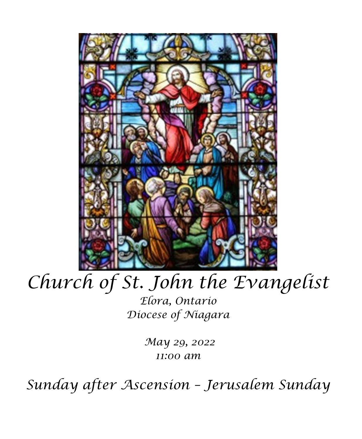

# *Church of St. John the Evangelist*

*Elora, Ontario Diocese of Niagara*

> *May 29, 2022 11:00 am*

*Sunday after Ascension – Jerusalem Sunday*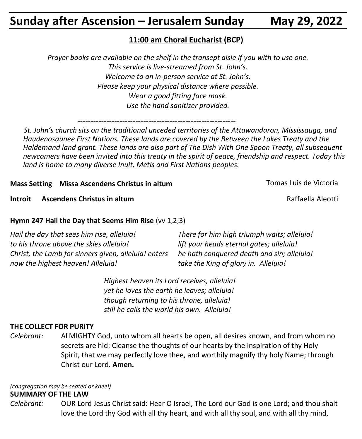# **Sunday after Ascension – Jerusalem Sunday May 29, 2022**

#### **11:00 am Choral Eucharist (BCP)**

*Prayer books are available on the shelf in the transept aisle if you with to use one. This service is live-streamed from St. John's. Welcome to an in-person service at St. John's. Please keep your physical distance where possible. Wear a good fitting face mask. Use the hand sanitizer provided.*

------------------------------------------------------------

 *St. John's church sits on the traditional unceded territories of the Attawandaron, Mississauga, and Haudenosaunee First Nations. These lands are covered by the Between the Lakes Treaty and the Haldemand land grant. These lands are also part of The Dish With One Spoon Treaty, all subsequent newcomers have been invited into this treaty in the spirit of peace, friendship and respect. Today this land is home to many diverse Inuit, Metis and First Nations peoples.* 

#### **Mass Setting Missa Ascendens Christus in altum** Tomas Luis de Victoria

**Introit Ascendens Christus in altum** According and Aleotti Raffaella Aleotti **Raffaella** Aleotti

#### **Hymn 247 Hail the Day that Seems Him Rise** (vv 1,2,3)

| Hail the day that sees him rise, alleluia!           | There for him high triumph waits; alleluia! |
|------------------------------------------------------|---------------------------------------------|
| to his throne above the skies alleluia!              | lift your heads eternal gates; alleluia!    |
| Christ, the Lamb for sinners given, alleluia! enters | he hath conquered death and sin; alleluia!  |
| now the highest heaven! Alleluia!                    | take the King of glory in. Alleluia!        |

*Highest heaven its Lord receives, alleluia! yet he loves the earth he leaves; alleluia! though returning to his throne, alleluia! still he calls the world his own. Alleluia!*

#### **THE COLLECT FOR PURITY**

*Celebrant:* ALMIGHTY God, unto whom all hearts be open, all desires known, and from whom no secrets are hid: Cleanse the thoughts of our hearts by the inspiration of thy Holy Spirit, that we may perfectly love thee, and worthily magnify thy holy Name; through Christ our Lord. **Amen.**

*(congregation may be seated or kneel)* **SUMMARY OF THE LAW**

*Celebrant:* OUR Lord Jesus Christ said: Hear O Israel, The Lord our God is one Lord; and thou shalt love the Lord thy God with all thy heart, and with all thy soul, and with all thy mind,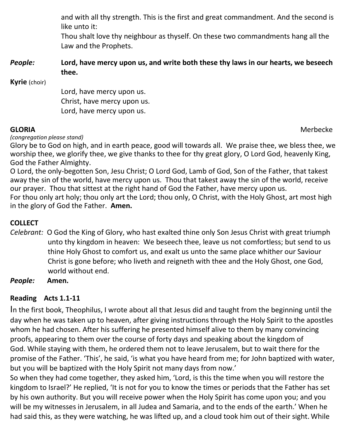and with all thy strength. This is the first and great commandment. And the second is like unto it:

Thou shalt love thy neighbour as thyself. On these two commandments hang all the Law and the Prophets.

#### *People:* **Lord, have mercy upon us, and write both these thy laws in our hearts, we beseech thee.**

**Kyrie** (choir)

Lord, have mercy upon us. Christ, have mercy upon us. Lord, have mercy upon us.

**GLORIA** Merbecke

#### *(congregation please stand)*

Glory be to God on high, and in earth peace, good will towards all. We praise thee, we bless thee, we worship thee, we glorify thee, we give thanks to thee for thy great glory, O Lord God, heavenly King, God the Father Almighty.

O Lord, the only-begotten Son, Jesu Christ; O Lord God, Lamb of God, Son of the Father, that takest away the sin of the world, have mercy upon us. Thou that takest away the sin of the world, receive our prayer. Thou that sittest at the right hand of God the Father, have mercy upon us.

For thou only art holy; thou only art the Lord; thou only, O Christ, with the Holy Ghost, art most high in the glory of God the Father. **Amen.**

#### **COLLECT**

- *Celebrant:* O God the King of Glory, who hast exalted thine only Son Jesus Christ with great triumph unto thy kingdom in heaven: We beseech thee, leave us not comfortless; but send to us thine Holy Ghost to comfort us, and exalt us unto the same place whither our Saviour Christ is gone before; who liveth and reigneth with thee and the Holy Ghost, one God, world without end.
- *People:* **Amen.**

### **Reading Acts 1.1-11**

In the first book, Theophilus, I wrote about all that Jesus did and taught from the beginning until the day when he was taken up to heaven, after giving instructions through the Holy Spirit to the apostles whom he had chosen. After his suffering he presented himself alive to them by many convincing proofs, appearing to them over the course of forty days and speaking about the kingdom of God. While staying with them, he ordered them not to leave Jerusalem, but to wait there for the promise of the Father. 'This', he said, 'is what you have heard from me; for John baptized with water, but you will be baptized with the Holy Spirit not many days from now.'

So when they had come together, they asked him, 'Lord, is this the time when you will restore the kingdom to Israel?' He replied, 'It is not for you to know the times or periods that the Father has set by his own authority. But you will receive power when the Holy Spirit has come upon you; and you will be my witnesses in Jerusalem, in all Judea and Samaria, and to the ends of the earth.' When he had said this, as they were watching, he was lifted up, and a cloud took him out of their sight. While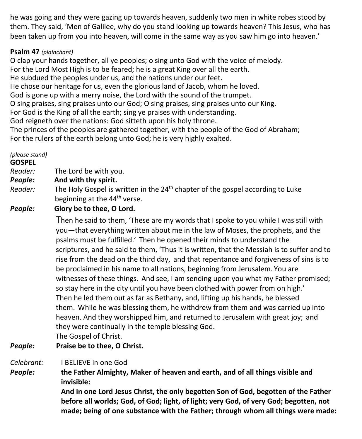he was going and they were gazing up towards heaven, suddenly two men in white robes stood by them. They said, 'Men of Galilee, why do you stand looking up towards heaven? This Jesus, who has been taken up from you into heaven, will come in the same way as you saw him go into heaven.'

#### **Psalm 47** *(plainchant)*

O clap your hands together, all ye peoples; o sing unto God with the voice of melody. For the Lord Most High is to be feared; he is a great King over all the earth. He subdued the peoples under us, and the nations under our feet. He chose our heritage for us, even the glorious land of Jacob, whom he loved. God is gone up with a merry noise, the Lord with the sound of the trumpet. O sing praises, sing praises unto our God; O sing praises, sing praises unto our King. For God is the King of all the earth; sing ye praises with understanding. God reigneth over the nations: God sitteth upon his holy throne. The princes of the peoples are gathered together, with the people of the God of Abraham; For the rulers of the earth belong unto God; he is very highly exalted.

*(please stand)* **GOSPEL**  *Reader:*The Lord be with you. *People:* **And with thy spirit.** *Reader:* The Holy Gospel is written in the 24<sup>th</sup> chapter of the gospel according to Luke beginning at the 44<sup>th</sup> verse. *People:* **Glory be to thee, O Lord.** Then he said to them, 'These are my words that I spoke to you while I was still with you—that everything written about me in the law of Moses, the prophets, and the psalms must be fulfilled.' Then he opened their minds to understand the scriptures, and he said to them, 'Thus it is written, that the Messiah is to suffer and to rise from the dead on the third day, and that repentance and forgiveness of sins is to be proclaimed in his name to all nations, beginning from Jerusalem. You are witnesses of these things. And see, I am sending upon you what my Father promised; so stay here in the city until you have been clothed with power from on high.' Then he led them out as far as Bethany, and, lifting up his hands, he blessed

them. While he was blessing them, he withdrew from them and was carried up into heaven. And they worshipped him, and returned to Jerusalem with great joy; and they were continually in the temple blessing God.

The Gospel of Christ.

#### *People:* **Praise be to thee, O Christ.**

*Celebrant:* I BELIEVE in one God

*People:* **the Father Almighty, Maker of heaven and earth, and of all things visible and invisible:**

> **And in one Lord Jesus Christ, the only begotten Son of God, begotten of the Father before all worlds; God, of God; light, of light; very God, of very God; begotten, not made; being of one substance with the Father; through whom all things were made:**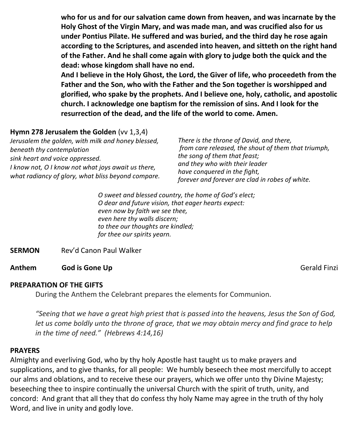**who for us and for our salvation came down from heaven, and was incarnate by the Holy Ghost of the Virgin Mary, and was made man, and was crucified also for us under Pontius Pilate. He suffered and was buried, and the third day he rose again according to the Scriptures, and ascended into heaven, and sitteth on the right hand of the Father. And he shall come again with glory to judge both the quick and the dead: whose kingdom shall have no end.**

**And I believe in the Holy Ghost, the Lord, the Giver of life, who proceedeth from the Father and the Son, who with the Father and the Son together is worshipped and glorified, who spake by the prophets. And I believe one, holy, catholic, and apostolic church. I acknowledge one baptism for the remission of sins. And I look for the resurrection of the dead, and the life of the world to come. Amen.**

#### **Hymn 278 Jerusalem the Golden** (vv 1,3,4)

| Jerusalem the golden, with milk and honey blessed,                                                       | There is the throne of David, and there,                       |
|----------------------------------------------------------------------------------------------------------|----------------------------------------------------------------|
| beneath thy contemplation                                                                                | from care released, the shout of them that triumph,            |
| sink heart and voice oppressed.                                                                          | the song of them that feast;<br>and they who with their leader |
| I know not, O I know not what joys await us there,<br>what radiancy of glory, what bliss beyond compare. |                                                                |
|                                                                                                          | have conquered in the fight,                                   |
|                                                                                                          | forever and forever are clad in robes of white.                |

*O sweet and blessed country, the home of God's elect; O dear and future vision, that eager hearts expect: even now by faith we see thee, even here thy walls discern; to thee our thoughts are kindled; for thee our spirits yearn.*

#### **SERMON** Rev'd Canon Paul Walker

#### **Anthem** God is Gone Up **Geometry General Contract Contract Contract Contract Contract Contract Contract Contract Contract Contract Contract Contract Contract Contract Contract Contract Contract Contract Contract Contrac**

#### **PREPARATION OF THE GIFTS**

During the Anthem the Celebrant prepares the elements for Communion.

*"Seeing that we have a great high priest that is passed into the heavens, Jesus the Son of God, let us come boldly unto the throne of grace, that we may obtain mercy and find grace to help in the time of need." (Hebrews 4:14,16)*

#### **PRAYERS**

Almighty and everliving God, who by thy holy Apostle hast taught us to make prayers and supplications, and to give thanks, for all people: We humbly beseech thee most mercifully to accept our alms and oblations, and to receive these our prayers, which we offer unto thy Divine Majesty; beseeching thee to inspire continually the universal Church with the spirit of truth, unity, and concord: And grant that all they that do confess thy holy Name may agree in the truth of thy holy Word, and live in unity and godly love.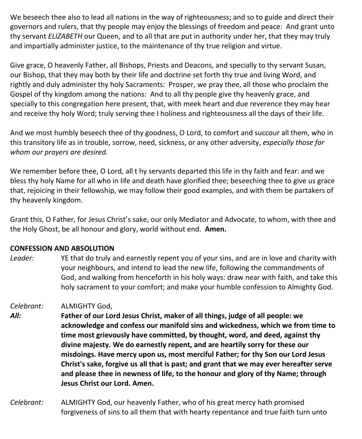We beseech thee also to lead all nations in the way of righteousness; and so to guide and direct their governors and rulers, that thy people may enjoy the blessings of freedom and peace: And grant unto thy servant *ELIZABETH* our Queen, and to all that are put in authority under her, that they may truly and impartially administer justice, to the maintenance of thy true religion and virtue.

Give grace, O heavenly Father, all Bishops, Priests and Deacons, and specially to thy servant Susan, our Bishop, that they may both by their life and doctrine set forth thy true and living Word, and rightly and duly administer thy holy Sacraments: Prosper, we pray thee, all those who proclaim the Gospel of thy kingdom among the nations: And to all thy people give thy heavenly grace, and specially to this congregation here present, that, with meek heart and due reverence they may hear and receive thy holy Word; truly serving thee I holiness and righteousness all the days of their life.

And we most humbly beseech thee of thy goodness, O Lord, to comfort and succour all them, who in this transitory life as in trouble, sorrow, need, sickness, or any other adversity, *especially those for whom our prayers are desired.*

We remember before thee, O Lord, all t hy servants departed this life in thy faith and fear: and we bless thy holy Name for all who in life and death have glorified thee; beseeching thee to give us grace that, rejoicing in their fellowship, we may follow their good examples, and with them be partakers of thy heavenly kingdom.

Grant this, O Father, for Jesus Christ's sake, our only Mediator and Advocate, to whom, with thee and the Holy Ghost, be all honour and glory, world without end. **Amen.**

#### **CONFESSION AND ABSOLUTION**

*Leader:* YE that do truly and earnestly repent you of your sins, and are in love and charity with your neighbours, and intend to lead the new life, following the commandments of God, and walking from henceforth in his holy ways: draw near with faith, and take this holy sacrament to your comfort; and make your humble confession to Almighty God.

*Celebrant:* ALMIGHTY God,

- *All:* **Father of our Lord Jesus Christ, maker of all things, judge of all people: we acknowledge and confess our manifold sins and wickedness, which we from time to time most grievously have committed, by thought, word, and deed, against thy divine majesty. We do earnestly repent, and are heartily sorry for these our misdoings. Have mercy upon us, most merciful Father; for thy Son our Lord Jesus Christ's sake, forgive us all that is past; and grant that we may ever hereafter serve and please thee in newness of life, to the honour and glory of thy Name; through Jesus Christ our Lord. Amen.**
- *Celebrant:* ALMIGHTY God, our heavenly Father, who of his great mercy hath promised forgiveness of sins to all them that with hearty repentance and true faith turn unto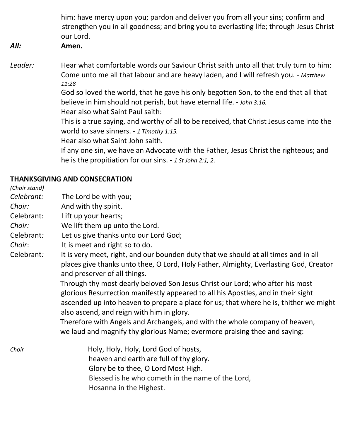him: have mercy upon you; pardon and deliver you from all your sins; confirm and strengthen you in all goodness; and bring you to everlasting life; through Jesus Christ our Lord.

#### *All:* **Amen.**

*Leader:* Hear what comfortable words our Saviour Christ saith unto all that truly turn to him: Come unto me all that labour and are heavy laden, and I will refresh you. - *Matthew 11:28* God so loved the world, that he gave his only begotten Son, to the end that all that believe in him should not perish, but have eternal life. - *John 3:16.* Hear also what Saint Paul saith: This is a true saying, and worthy of all to be received, that Christ Jesus came into the world to save sinners. - *1 Timothy 1:15.* Hear also what Saint John saith.

If any one sin, we have an Advocate with the Father, Jesus Christ the righteous; and he is the propitiation for our sins. - *1 St John 2:1, 2*.

#### **THANKSGIVING AND CONSECRATION**

*(Choir stand) Celebrant:* The Lord be with you; *Choir:* And with thy spirit. Celebrant: Lift up your hearts; *Choir:* We lift them up unto the Lord. Celebrant*:* Let us give thanks unto our Lord God; *Choir*: It is meet and right so to do. Celebrant*:* It is very meet, right, and our bounden duty that we should at all times and in all places give thanks unto thee, O Lord, Holy Father, Almighty, Everlasting God, Creator and preserver of all things. Through thy most dearly beloved Son Jesus Christ our Lord; who after his most glorious Resurrection manifestly appeared to all his Apostles, and in their sight ascended up into heaven to prepare a place for us; that where he is, thither we might also ascend, and reign with him in glory. Therefore with Angels and Archangels, and with the whole company of heaven, we laud and magnify thy glorious Name; evermore praising thee and saying: *Choir* **Holy, Holy, Holy, Lord God of hosts,**  heaven and earth are full of thy glory. Glory be to thee, O Lord Most High. Blessed is he who cometh in the name of the Lord,

Hosanna in the Highest.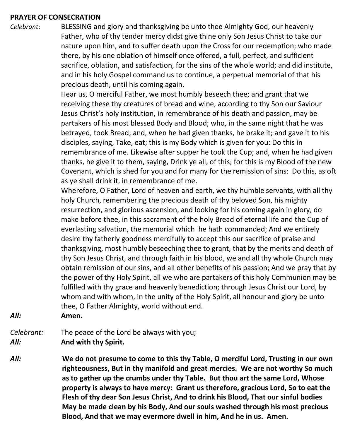#### **PRAYER OF CONSECRATION**

*Celebrant*: BLESSING and glory and thanksgiving be unto thee Almighty God, our heavenly Father, who of thy tender mercy didst give thine only Son Jesus Christ to take our nature upon him, and to suffer death upon the Cross for our redemption; who made there, by his one oblation of himself once offered, a full, perfect, and sufficient sacrifice, oblation, and satisfaction, for the sins of the whole world; and did institute, and in his holy Gospel command us to continue, a perpetual memorial of that his precious death, until his coming again.

> Hear us, O merciful Father, we most humbly beseech thee; and grant that we receiving these thy creatures of bread and wine, according to thy Son our Saviour Jesus Christ's holy institution, in remembrance of his death and passion, may be partakers of his most blessed Body and Blood; who, in the same night that he was betrayed, took Bread; and, when he had given thanks, he brake it; and gave it to his disciples, saying, Take, eat; this is my Body which is given for you: Do this in remembrance of me. Likewise after supper he took the Cup; and, when he had given thanks, he give it to them, saying, Drink ye all, of this; for this is my Blood of the new Covenant, which is shed for you and for many for the remission of sins: Do this, as oft as ye shall drink it, in remembrance of me.

> Wherefore, O Father, Lord of heaven and earth, we thy humble servants, with all thy holy Church, remembering the precious death of thy beloved Son, his mighty resurrection, and glorious ascension, and looking for his coming again in glory, do make before thee, in this sacrament of the holy Bread of eternal life and the Cup of everlasting salvation, the memorial which he hath commanded; And we entirely desire thy fatherly goodness mercifully to accept this our sacrifice of praise and thanksgiving, most humbly beseeching thee to grant, that by the merits and death of thy Son Jesus Christ, and through faith in his blood, we and all thy whole Church may obtain remission of our sins, and all other benefits of his passion; And we pray that by the power of thy Holy Spirit, all we who are partakers of this holy Communion may be fulfilled with thy grace and heavenly benediction; through Jesus Christ our Lord, by whom and with whom, in the unity of the Holy Spirit, all honour and glory be unto thee, O Father Almighty, world without end.

*All:* **Amen.**

*Celebrant:* The peace of the Lord be always with you; *All:* **And with thy Spirit.**

*All:* **We do not presume to come to this thy Table, O merciful Lord, Trusting in our own righteousness, But in thy manifold and great mercies. We are not worthy So much as to gather up the crumbs under thy Table. But thou art the same Lord, Whose property is always to have mercy: Grant us therefore, gracious Lord, So to eat the Flesh of thy dear Son Jesus Christ, And to drink his Blood, That our sinful bodies May be made clean by his Body, And our souls washed through his most precious Blood, And that we may evermore dwell in him, And he in us. Amen.**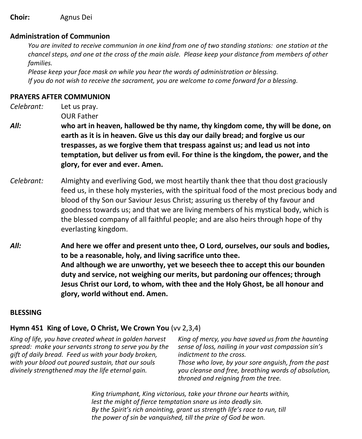**Choir:** Agnus Dei

#### **Administration of Communion**

You are invited to receive communion in one kind from one of two standing stations: one station at the chancel steps, and one at the cross of the main aisle. Please keep your distance from members of other  *families.*

 *Please keep your face mask on while you hear the words of administration or blessing. If you do not wish to receive the sacrament, you are welcome to come forward for a blessing.*

#### **PRAYERS AFTER COMMUNION**

*Celebrant:* Let us pray. OUR Father

- *All:* **who art in heaven, hallowed be thy name, thy kingdom come, thy will be done, on earth as it is in heaven. Give us this day our daily bread; and forgive us our trespasses, as we forgive them that trespass against us; and lead us not into temptation, but deliver us from evil. For thine is the kingdom, the power, and the glory, for ever and ever. Amen.**
- *Celebrant:* Almighty and everliving God, we most heartily thank thee that thou dost graciously feed us, in these holy mysteries, with the spiritual food of the most precious body and blood of thy Son our Saviour Jesus Christ; assuring us thereby of thy favour and goodness towards us; and that we are living members of his mystical body, which is the blessed company of all faithful people; and are also heirs through hope of thy everlasting kingdom.
- *All:* **And here we offer and present unto thee, O Lord, ourselves, our souls and bodies, to be a reasonable, holy, and living sacrifice unto thee. And although we are unworthy, yet we beseech thee to accept this our bounden duty and service, not weighing our merits, but pardoning our offences; through Jesus Christ our Lord, to whom, with thee and the Holy Ghost, be all honour and glory, world without end. Amen.**

#### **BLESSING**

#### **Hymn 451 King of Love, O Christ, We Crown You** (vv 2,3,4)

*King of life, you have created wheat in golden harvest spread: make your servants strong to serve you by the gift of daily bread. Feed us with your body broken, with your blood out poured sustain, that our souls divinely strengthened may the life eternal gain.*

*King of mercy, you have saved us from the haunting sense of loss, nailing in your vast compassion sin's indictment to the cross. Those who love, by your sore anguish, from the past* 

*you cleanse and free, breathing words of absolution, throned and reigning from the tree.*

*King triumphant, King victorious, take your throne our hearts within, lest the might of fierce temptation snare us into deadly sin. By the Spirit's rich anointing, grant us strength life's race to run, till the power of sin be vanquished, till the prize of God be won.*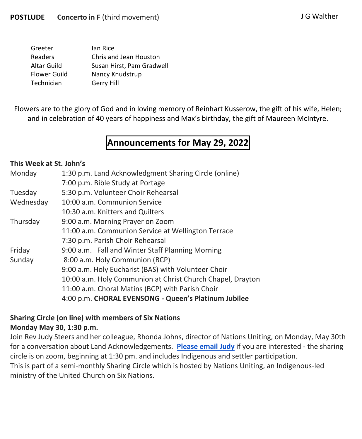| Greeter      | lan Rice                  |
|--------------|---------------------------|
| Readers      | Chris and Jean Houston    |
| Altar Guild  | Susan Hirst, Pam Gradwell |
| Flower Guild | Nancy Knudstrup           |
| Technician   | Gerry Hill                |

Flowers are to the glory of God and in loving memory of Reinhart Kusserow, the gift of his wife, Helen; and in celebration of 40 years of happiness and Max's birthday, the gift of Maureen McIntyre.

# **Announcements for May 29, 2022**

#### **This Week at St. John's**

| Monday    | 1:30 p.m. Land Acknowledgment Sharing Circle (online)      |
|-----------|------------------------------------------------------------|
|           | 7:00 p.m. Bible Study at Portage                           |
| Tuesday   | 5:30 p.m. Volunteer Choir Rehearsal                        |
| Wednesday | 10:00 a.m. Communion Service                               |
|           | 10:30 a.m. Knitters and Quilters                           |
| Thursday  | 9:00 a.m. Morning Prayer on Zoom                           |
|           | 11:00 a.m. Communion Service at Wellington Terrace         |
|           | 7:30 p.m. Parish Choir Rehearsal                           |
| Friday    | 9:00 a.m. Fall and Winter Staff Planning Morning           |
| Sunday    | 8:00 a.m. Holy Communion (BCP)                             |
|           | 9:00 a.m. Holy Eucharist (BAS) with Volunteer Choir        |
|           | 10:00 a.m. Holy Communion at Christ Church Chapel, Drayton |
|           | 11:00 a.m. Choral Matins (BCP) with Parish Choir           |
|           | 4:00 p.m. CHORAL EVENSONG - Queen's Platinum Jubilee       |

#### **Sharing Circle (on line) with members of Six Nations Monday May 30, 1:30 p.m.**

Join Rev Judy Steers and her colleague, Rhonda Johns, director of Nations Uniting, on Monday, May 30th for a conversation about Land Acknowledgements. **[Please email Judy](mailto:curate.stjohnselora@gmail.com)** if you are interested - the sharing circle is on zoom, beginning at 1:30 pm. and includes Indigenous and settler participation. This is part of a semi-monthly Sharing Circle which is hosted by Nations Uniting, an Indigenous-led ministry of the United Church on Six Nations.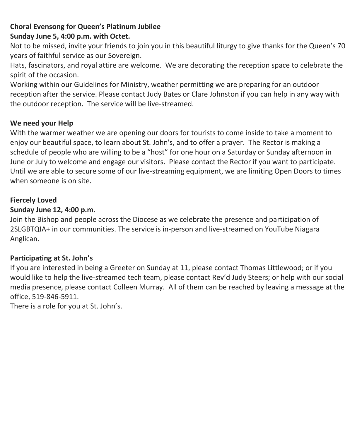#### **Choral Evensong for Queen's Platinum Jubilee Sunday June 5, 4:00 p.m. with Octet.**

Not to be missed, invite your friends to join you in this beautiful liturgy to give thanks for the Queen's 70 years of faithful service as our Sovereign.

Hats, fascinators, and royal attire are welcome. We are decorating the reception space to celebrate the spirit of the occasion.

Working within our Guidelines for Ministry, weather permitting we are preparing for an outdoor reception after the service. Please contact Judy Bates or Clare Johnston if you can help in any way with the outdoor reception. The service will be live-streamed.

#### **We need your Help**

With the warmer weather we are opening our doors for tourists to come inside to take a moment to enjoy our beautiful space, to learn about St. John's, and to offer a prayer. The Rector is making a schedule of people who are willing to be a "host" for one hour on a Saturday or Sunday afternoon in June or July to welcome and engage our visitors. Please contact the Rector if you want to participate. Until we are able to secure some of our live-streaming equipment, we are limiting Open Doors to times when someone is on site.

#### **Fiercely Loved**

#### **Sunday June 12, 4:00 p.m**.

Join the Bishop and people across the Diocese as we celebrate the presence and participation of 2SLGBTQIA+ in our communities. The service is in-person and live-streamed on YouTube Niagara Anglican.

#### **Participating at St. John's**

If you are interested in being a Greeter on Sunday at 11, please contact Thomas Littlewood; or if you would like to help the live-streamed tech team, please contact Rev'd Judy Steers; or help with our social media presence, please contact Colleen Murray. All of them can be reached by leaving a message at the office, 519-846-5911.

There is a role for you at St. John's.